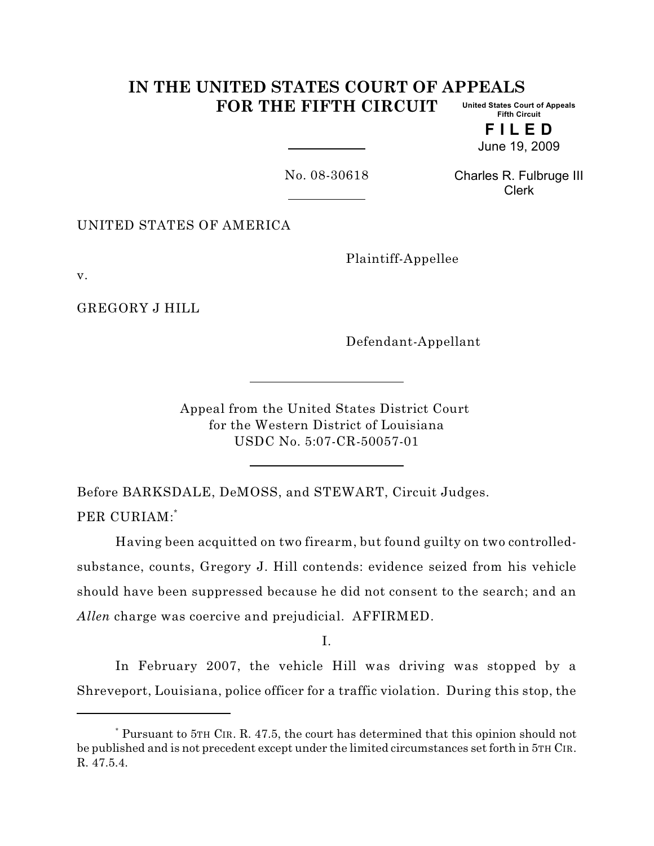#### **IN THE UNITED STATES COURT OF APPEALS FOR THE FIFTH CIRCUIT United States Court of Appeals Fifth Circuit**

**F I L E D** June 19, 2009

No. 08-30618

Charles R. Fulbruge III Clerk

UNITED STATES OF AMERICA

Plaintiff-Appellee

v.

GREGORY J HILL

Defendant-Appellant

Appeal from the United States District Court for the Western District of Louisiana USDC No. 5:07-CR-50057-01

Before BARKSDALE, DeMOSS, and STEWART, Circuit Judges.

PER CURIAM:\*

Having been acquitted on two firearm, but found guilty on two controlledsubstance, counts, Gregory J. Hill contends: evidence seized from his vehicle should have been suppressed because he did not consent to the search; and an *Allen* charge was coercive and prejudicial. AFFIRMED.

I.

In February 2007, the vehicle Hill was driving was stopped by a Shreveport, Louisiana, police officer for a traffic violation. During this stop, the

Pursuant to 5TH CIR. R. 47.5, the court has determined that this opinion should not \* be published and is not precedent except under the limited circumstances set forth in 5TH CIR. R. 47.5.4.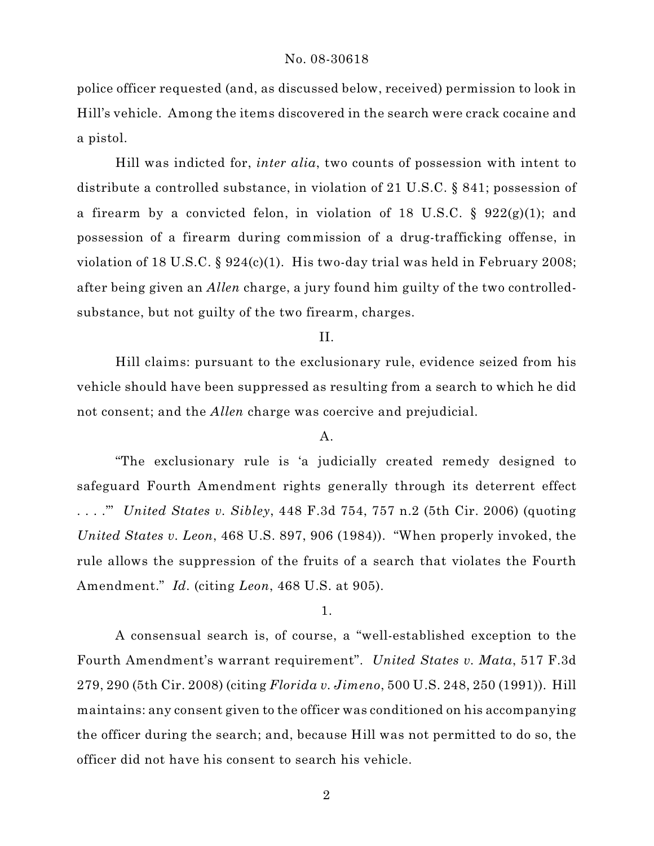police officer requested (and, as discussed below, received) permission to look in Hill's vehicle. Among the items discovered in the search were crack cocaine and a pistol.

Hill was indicted for, *inter alia*, two counts of possession with intent to distribute a controlled substance, in violation of 21 U.S.C. § 841; possession of a firearm by a convicted felon, in violation of 18 U.S.C. §  $922(g)(1)$ ; and possession of a firearm during commission of a drug-trafficking offense, in violation of 18 U.S.C. § 924(c)(1). His two-day trial was held in February 2008; after being given an *Allen* charge, a jury found him guilty of the two controlledsubstance, but not guilty of the two firearm, charges.

II.

Hill claims: pursuant to the exclusionary rule, evidence seized from his vehicle should have been suppressed as resulting from a search to which he did not consent; and the *Allen* charge was coercive and prejudicial.

#### A.

"The exclusionary rule is 'a judicially created remedy designed to safeguard Fourth Amendment rights generally through its deterrent effect . . . .'" *United States v. Sibley*, 448 F.3d 754, 757 n.2 (5th Cir. 2006) (quoting *United States v. Leon*, 468 U.S. 897, 906 (1984)). "When properly invoked, the rule allows the suppression of the fruits of a search that violates the Fourth Amendment." *Id.* (citing *Leon*, 468 U.S. at 905).

## 1.

A consensual search is, of course, a "well-established exception to the Fourth Amendment's warrant requirement". *United States v. Mata*, 517 F.3d 279, 290 (5th Cir. 2008) (citing *Florida v. Jimeno*, 500 U.S. 248, 250 (1991)). Hill maintains: any consent given to the officer was conditioned on his accompanying the officer during the search; and, because Hill was not permitted to do so, the officer did not have his consent to search his vehicle.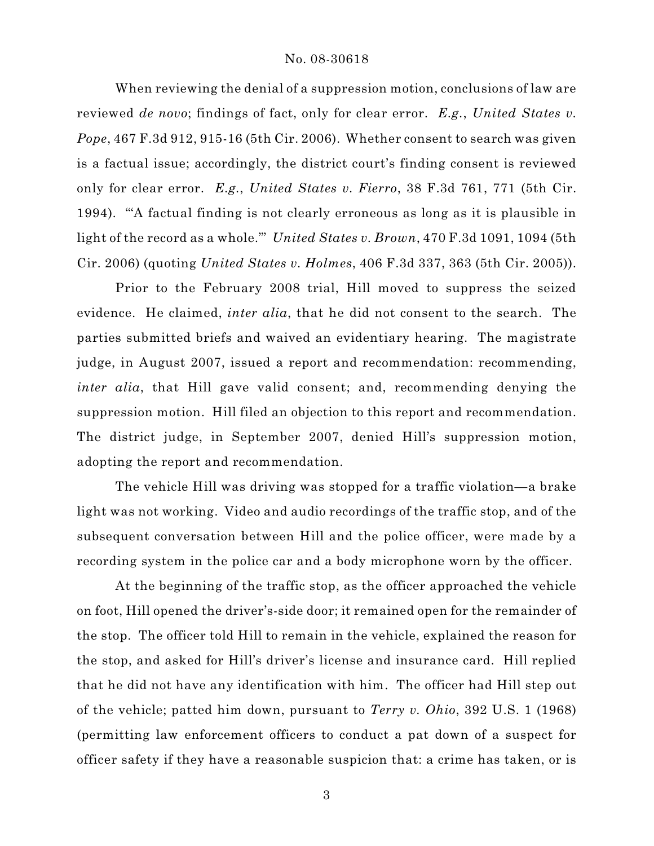When reviewing the denial of a suppression motion, conclusions of law are reviewed *de novo*; findings of fact, only for clear error. *E.g.*, *United States v. Pope*, 467 F.3d 912, 915-16 (5th Cir. 2006). Whether consent to search was given is a factual issue; accordingly, the district court's finding consent is reviewed only for clear error. *E.g.*, *United States v. Fierro*, 38 F.3d 761, 771 (5th Cir. 1994). "'A factual finding is not clearly erroneous as long as it is plausible in light of the record as a whole.'" *United States v. Brown*, 470 F.3d 1091, 1094 (5th Cir. 2006) (quoting *United States v. Holmes*, 406 F.3d 337, 363 (5th Cir. 2005)).

Prior to the February 2008 trial, Hill moved to suppress the seized evidence. He claimed, *inter alia*, that he did not consent to the search. The parties submitted briefs and waived an evidentiary hearing. The magistrate judge, in August 2007, issued a report and recommendation: recommending, *inter alia*, that Hill gave valid consent; and, recommending denying the suppression motion. Hill filed an objection to this report and recommendation. The district judge, in September 2007, denied Hill's suppression motion, adopting the report and recommendation.

The vehicle Hill was driving was stopped for a traffic violation—a brake light was not working. Video and audio recordings of the traffic stop, and of the subsequent conversation between Hill and the police officer, were made by a recording system in the police car and a body microphone worn by the officer.

At the beginning of the traffic stop, as the officer approached the vehicle on foot, Hill opened the driver's-side door; it remained open for the remainder of the stop. The officer told Hill to remain in the vehicle, explained the reason for the stop, and asked for Hill's driver's license and insurance card. Hill replied that he did not have any identification with him. The officer had Hill step out of the vehicle; patted him down, pursuant to *Terry v. Ohio*, 392 U.S. 1 (1968) (permitting law enforcement officers to conduct a pat down of a suspect for officer safety if they have a reasonable suspicion that: a crime has taken, or is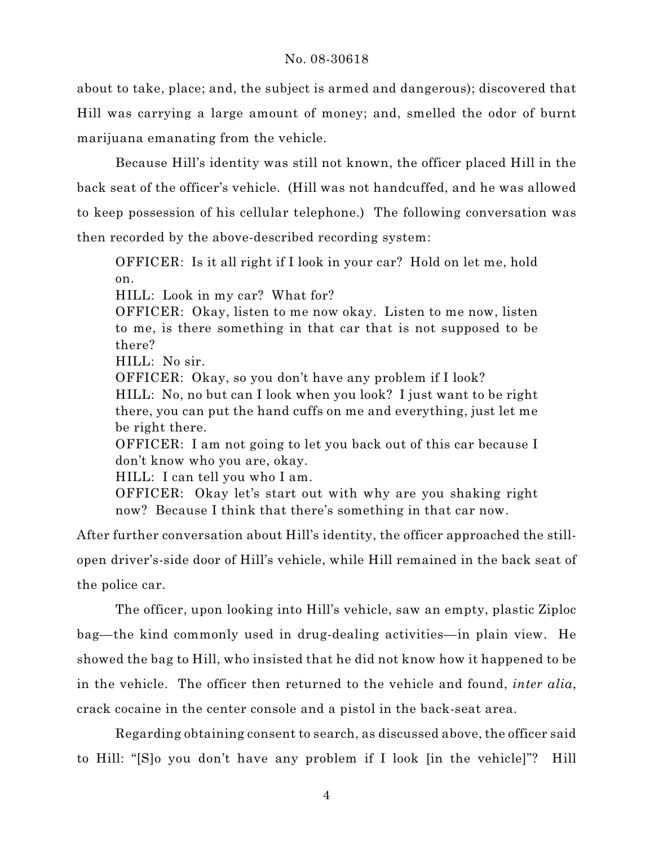about to take, place; and, the subject is armed and dangerous); discovered that Hill was carrying a large amount of money; and, smelled the odor of burnt marijuana emanating from the vehicle.

Because Hill's identity was still not known, the officer placed Hill in the back seat of the officer's vehicle. (Hill was not handcuffed, and he was allowed to keep possession of his cellular telephone.) The following conversation was then recorded by the above-described recording system:

OFFICER: Is it all right if I look in your car? Hold on let me, hold on.

HILL: Look in my car? What for?

OFFICER: Okay, listen to me now okay. Listen to me now, listen to me, is there something in that car that is not supposed to be there?

HILL: No sir.

OFFICER: Okay, so you don't have any problem if I look?

HILL: No, no but can I look when you look? I just want to be right there, you can put the hand cuffs on me and everything, just let me be right there.

OFFICER: I am not going to let you back out of this car because I don't know who you are, okay.

HILL: I can tell you who I am.

OFFICER: Okay let's start out with why are you shaking right now? Because I think that there's something in that car now.

After further conversation about Hill's identity, the officer approached the stillopen driver's-side door of Hill's vehicle, while Hill remained in the back seat of

the police car.

The officer, upon looking into Hill's vehicle, saw an empty, plastic Ziploc bag—the kind commonly used in drug-dealing activities—in plain view. He showed the bag to Hill, who insisted that he did not know how it happened to be in the vehicle. The officer then returned to the vehicle and found, *inter alia*, crack cocaine in the center console and a pistol in the back-seat area.

Regarding obtaining consent to search, as discussed above, the officer said to Hill: "[S]o you don't have any problem if I look [in the vehicle]"? Hill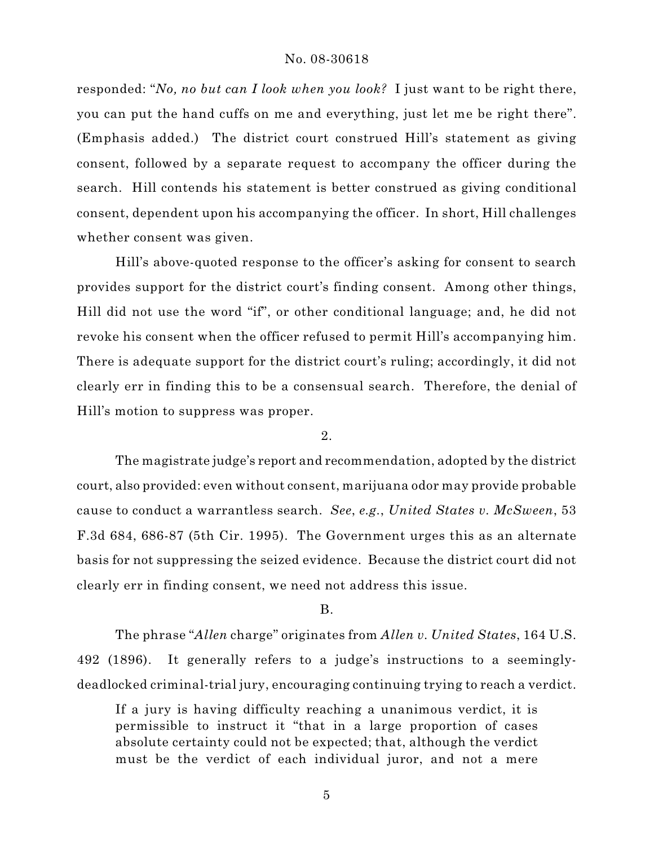responded: "*No, no but can I look when you look?* I just want to be right there, you can put the hand cuffs on me and everything, just let me be right there". (Emphasis added.) The district court construed Hill's statement as giving consent, followed by a separate request to accompany the officer during the search. Hill contends his statement is better construed as giving conditional consent, dependent upon his accompanying the officer. In short, Hill challenges whether consent was given.

Hill's above-quoted response to the officer's asking for consent to search provides support for the district court's finding consent. Among other things, Hill did not use the word "if", or other conditional language; and, he did not revoke his consent when the officer refused to permit Hill's accompanying him. There is adequate support for the district court's ruling; accordingly, it did not clearly err in finding this to be a consensual search. Therefore, the denial of Hill's motion to suppress was proper.

## 2.

The magistrate judge's report and recommendation, adopted by the district court, also provided: even without consent, marijuana odor may provide probable cause to conduct a warrantless search. *See*, *e.g.*, *United States v. McSween*, 53 F.3d 684, 686-87 (5th Cir. 1995). The Government urges this as an alternate basis for not suppressing the seized evidence. Because the district court did not clearly err in finding consent, we need not address this issue.

### B.

The phrase "*Allen* charge" originates from *Allen v. United States*, 164 U.S. 492 (1896). It generally refers to a judge's instructions to a seeminglydeadlocked criminal-trial jury, encouraging continuing trying to reach a verdict.

If a jury is having difficulty reaching a unanimous verdict, it is permissible to instruct it "that in a large proportion of cases absolute certainty could not be expected; that, although the verdict must be the verdict of each individual juror, and not a mere

5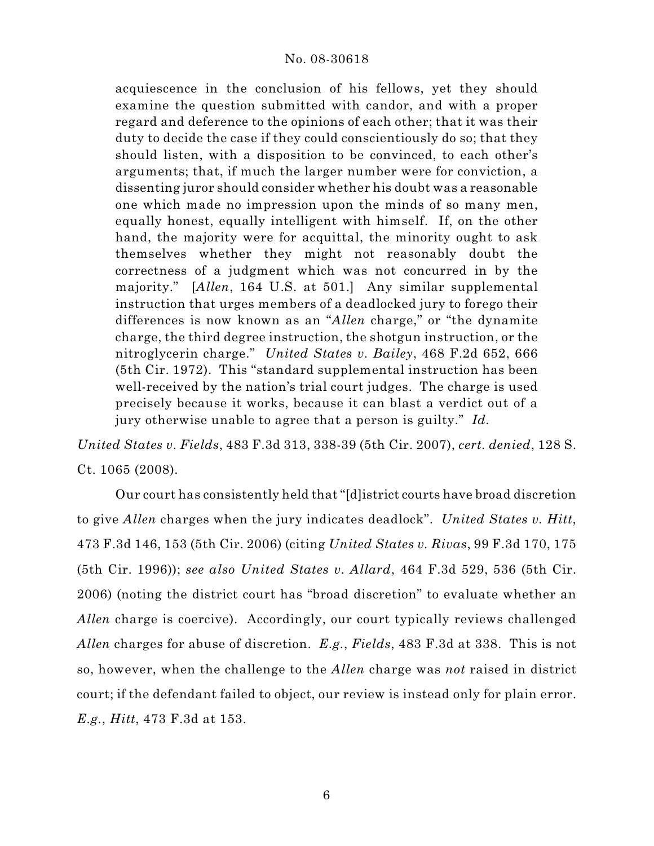acquiescence in the conclusion of his fellows, yet they should examine the question submitted with candor, and with a proper regard and deference to the opinions of each other; that it was their duty to decide the case if they could conscientiously do so; that they should listen, with a disposition to be convinced, to each other's arguments; that, if much the larger number were for conviction, a dissenting juror should consider whether his doubt was a reasonable one which made no impression upon the minds of so many men, equally honest, equally intelligent with himself. If, on the other hand, the majority were for acquittal, the minority ought to ask themselves whether they might not reasonably doubt the correctness of a judgment which was not concurred in by the majority." [*Allen*, 164 U.S. at 501.] Any similar supplemental instruction that urges members of a deadlocked jury to forego their differences is now known as an "*Allen* charge," or "the dynamite charge, the third degree instruction, the shotgun instruction, or the nitroglycerin charge." *United States v. Bailey*, 468 F.2d 652, 666 (5th Cir. 1972). This "standard supplemental instruction has been well-received by the nation's trial court judges. The charge is used precisely because it works, because it can blast a verdict out of a jury otherwise unable to agree that a person is guilty." *Id.*

*United States v. Fields*, 483 F.3d 313, 338-39 (5th Cir. 2007), *cert. denied*, 128 S. Ct. 1065 (2008).

Our court has consistently held that "[d]istrict courts have broad discretion to give *Allen* charges when the jury indicates deadlock". *United States v. Hitt*, 473 F.3d 146, 153 (5th Cir. 2006) (citing *United States v. Rivas*, 99 F.3d 170, 175 (5th Cir. 1996)); *see also United States v. Allard*, 464 F.3d 529, 536 (5th Cir. 2006) (noting the district court has "broad discretion" to evaluate whether an *Allen* charge is coercive). Accordingly, our court typically reviews challenged *Allen* charges for abuse of discretion. *E.g.*, *Fields*, 483 F.3d at 338. This is not so, however, when the challenge to the *Allen* charge was *not* raised in district court; if the defendant failed to object, our review is instead only for plain error. *E.g.*, *Hitt*, 473 F.3d at 153.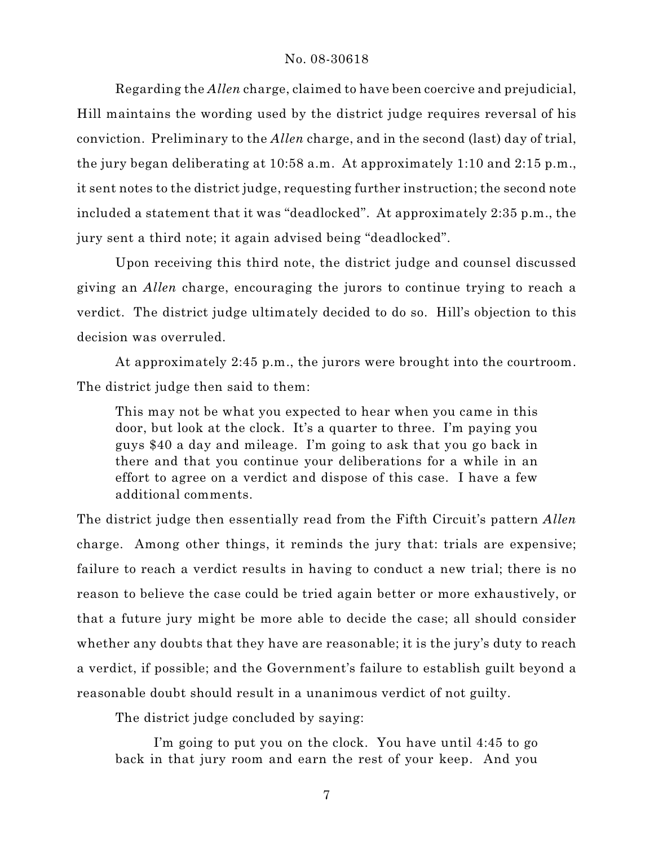Regarding the *Allen* charge, claimed to have been coercive and prejudicial, Hill maintains the wording used by the district judge requires reversal of his conviction. Preliminary to the *Allen* charge, and in the second (last) day of trial, the jury began deliberating at 10:58 a.m. At approximately 1:10 and 2:15 p.m., it sent notes to the district judge, requesting further instruction; the second note included a statement that it was "deadlocked". At approximately 2:35 p.m., the jury sent a third note; it again advised being "deadlocked".

Upon receiving this third note, the district judge and counsel discussed giving an *Allen* charge, encouraging the jurors to continue trying to reach a verdict. The district judge ultimately decided to do so. Hill's objection to this decision was overruled.

At approximately 2:45 p.m., the jurors were brought into the courtroom. The district judge then said to them:

This may not be what you expected to hear when you came in this door, but look at the clock. It's a quarter to three. I'm paying you guys \$40 a day and mileage. I'm going to ask that you go back in there and that you continue your deliberations for a while in an effort to agree on a verdict and dispose of this case. I have a few additional comments.

The district judge then essentially read from the Fifth Circuit's pattern *Allen* charge. Among other things, it reminds the jury that: trials are expensive; failure to reach a verdict results in having to conduct a new trial; there is no reason to believe the case could be tried again better or more exhaustively, or that a future jury might be more able to decide the case; all should consider whether any doubts that they have are reasonable; it is the jury's duty to reach a verdict, if possible; and the Government's failure to establish guilt beyond a reasonable doubt should result in a unanimous verdict of not guilty.

The district judge concluded by saying:

I'm going to put you on the clock. You have until 4:45 to go back in that jury room and earn the rest of your keep. And you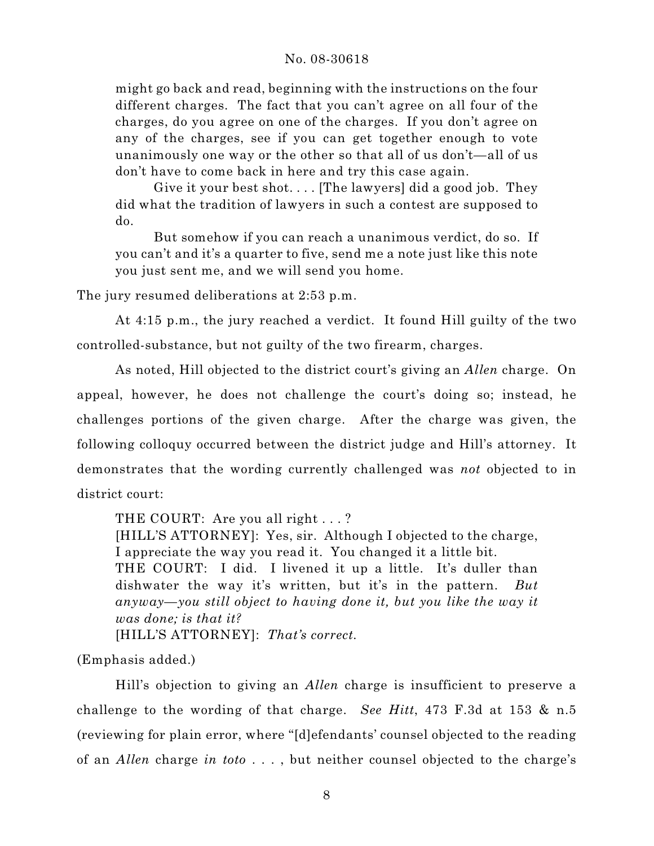might go back and read, beginning with the instructions on the four different charges. The fact that you can't agree on all four of the charges, do you agree on one of the charges. If you don't agree on any of the charges, see if you can get together enough to vote unanimously one way or the other so that all of us don't—all of us don't have to come back in here and try this case again.

Give it your best shot.... [The lawyers] did a good job. They did what the tradition of lawyers in such a contest are supposed to do.

But somehow if you can reach a unanimous verdict, do so. If you can't and it's a quarter to five, send me a note just like this note you just sent me, and we will send you home.

The jury resumed deliberations at 2:53 p.m.

At 4:15 p.m., the jury reached a verdict. It found Hill guilty of the two controlled-substance, but not guilty of the two firearm, charges.

As noted, Hill objected to the district court's giving an *Allen* charge. On appeal, however, he does not challenge the court's doing so; instead, he challenges portions of the given charge. After the charge was given, the following colloquy occurred between the district judge and Hill's attorney. It demonstrates that the wording currently challenged was *not* objected to in district court:

THE COURT: Are you all right . . . ?

[HILL'S ATTORNEY]: Yes, sir. Although I objected to the charge, I appreciate the way you read it. You changed it a little bit. THE COURT: I did. I livened it up a little. It's duller than dishwater the way it's written, but it's in the pattern. *But anyway—you still object to having done it, but you like the way it was done; is that it?*

[HILL'S ATTORNEY]: *That's correct.*

(Emphasis added.)

Hill's objection to giving an *Allen* charge is insufficient to preserve a challenge to the wording of that charge. *See Hitt*, 473 F.3d at 153 & n.5 (reviewing for plain error, where "[d]efendants' counsel objected to the reading of an *Allen* charge *in toto* . . . , but neither counsel objected to the charge's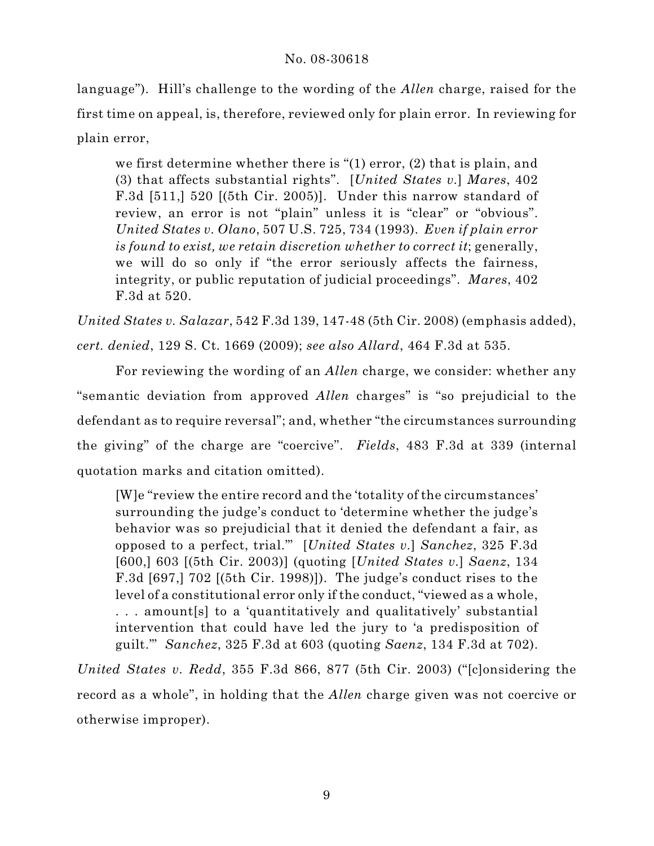language"). Hill's challenge to the wording of the *Allen* charge, raised for the first time on appeal, is, therefore, reviewed only for plain error. In reviewing for plain error,

we first determine whether there is "(1) error, (2) that is plain, and (3) that affects substantial rights". [*United States v.*] *Mares*, 402 F.3d [511,] 520 [(5th Cir. 2005)]. Under this narrow standard of review, an error is not "plain" unless it is "clear" or "obvious". *United States v. Olano*, 507 U.S. 725, 734 (1993). *Even if plain error is found to exist, we retain discretion whether to correct it*; generally, we will do so only if "the error seriously affects the fairness, integrity, or public reputation of judicial proceedings". *Mares*, 402 F.3d at 520.

*United States v. Salazar*, 542 F.3d 139, 147-48 (5th Cir. 2008) (emphasis added), *cert. denied*, 129 S. Ct. 1669 (2009); *see also Allard*, 464 F.3d at 535.

For reviewing the wording of an *Allen* charge, we consider: whether any "semantic deviation from approved *Allen* charges" is "so prejudicial to the defendant as to require reversal"; and, whether "the circumstances surrounding the giving" of the charge are "coercive". *Fields*, 483 F.3d at 339 (internal quotation marks and citation omitted).

[W]e "review the entire record and the 'totality of the circumstances' surrounding the judge's conduct to 'determine whether the judge's behavior was so prejudicial that it denied the defendant a fair, as opposed to a perfect, trial.'" [*United States v.*] *Sanchez*, 325 F.3d [600,] 603 [(5th Cir. 2003)] (quoting [*United States v.*] *Saenz*, 134 F.3d [697,] 702 [(5th Cir. 1998)]). The judge's conduct rises to the level of a constitutional error only if the conduct, "viewed as a whole, . . . amount[s] to a 'quantitatively and qualitatively' substantial intervention that could have led the jury to 'a predisposition of guilt.'" *Sanchez*, 325 F.3d at 603 (quoting *Saenz*, 134 F.3d at 702).

*United States v. Redd*, 355 F.3d 866, 877 (5th Cir. 2003) ("[c]onsidering the record as a whole", in holding that the *Allen* charge given was not coercive or otherwise improper).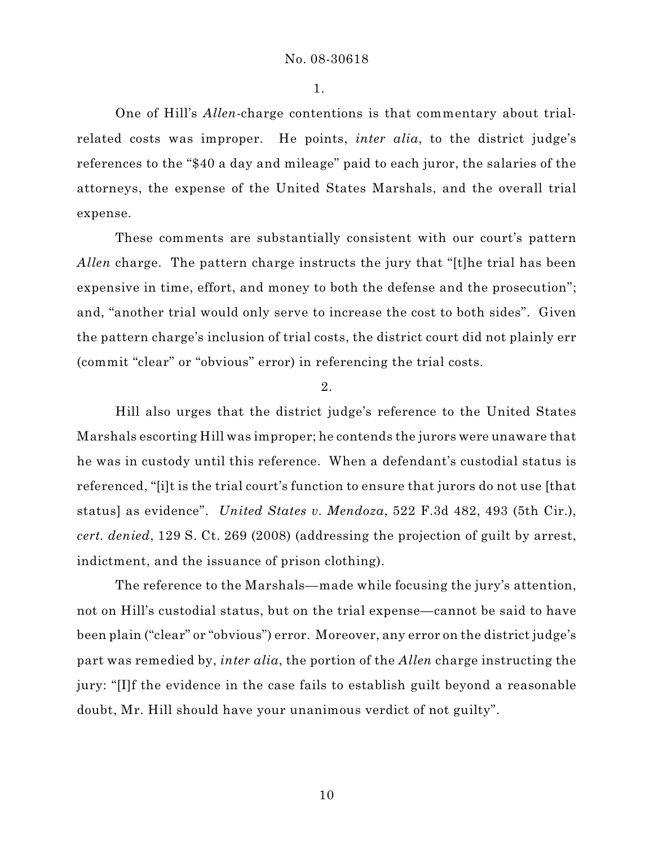1.

One of Hill's *Allen*-charge contentions is that commentary about trialrelated costs was improper. He points, *inter alia*, to the district judge's references to the "\$40 a day and mileage" paid to each juror, the salaries of the attorneys, the expense of the United States Marshals, and the overall trial expense.

These comments are substantially consistent with our court's pattern *Allen* charge. The pattern charge instructs the jury that "[t]he trial has been expensive in time, effort, and money to both the defense and the prosecution"; and, "another trial would only serve to increase the cost to both sides". Given the pattern charge's inclusion of trial costs, the district court did not plainly err (commit "clear" or "obvious" error) in referencing the trial costs.

2.

Hill also urges that the district judge's reference to the United States Marshals escorting Hill was improper; he contends the jurors were unaware that he was in custody until this reference. When a defendant's custodial status is referenced, "[i]t is the trial court's function to ensure that jurors do not use [that status] as evidence". *United States v. Mendoza*, 522 F.3d 482, 493 (5th Cir.), *cert. denied*, 129 S. Ct. 269 (2008) (addressing the projection of guilt by arrest, indictment, and the issuance of prison clothing).

The reference to the Marshals—made while focusing the jury's attention, not on Hill's custodial status, but on the trial expense—cannot be said to have been plain ("clear" or "obvious") error. Moreover, any error on the district judge's part was remedied by, *inter alia*, the portion of the *Allen* charge instructing the jury: "[I]f the evidence in the case fails to establish guilt beyond a reasonable doubt, Mr. Hill should have your unanimous verdict of not guilty".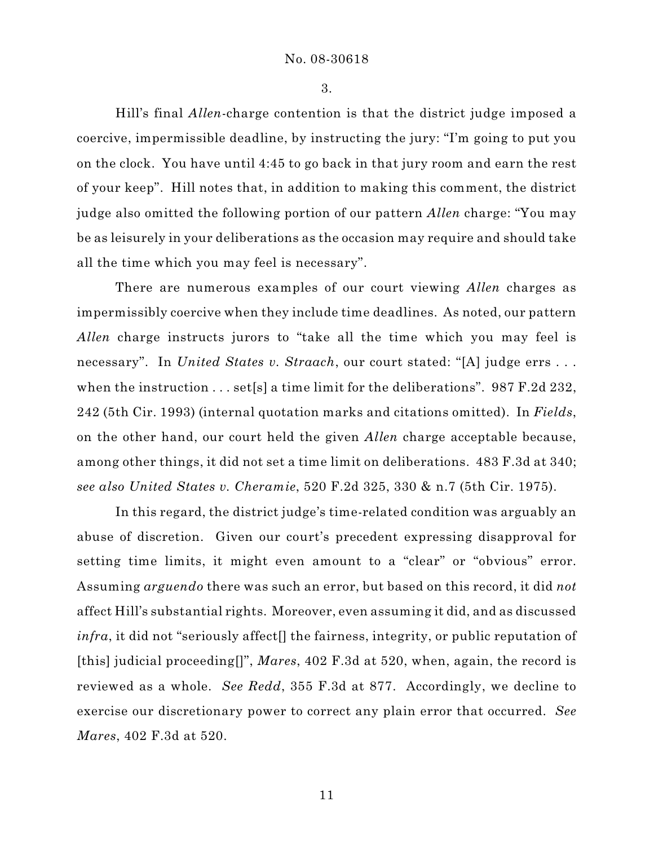3.

Hill's final *Allen*-charge contention is that the district judge imposed a coercive, impermissible deadline, by instructing the jury: "I'm going to put you on the clock. You have until 4:45 to go back in that jury room and earn the rest of your keep". Hill notes that, in addition to making this comment, the district judge also omitted the following portion of our pattern *Allen* charge: "You may be as leisurely in your deliberations as the occasion may require and should take all the time which you may feel is necessary".

There are numerous examples of our court viewing *Allen* charges as impermissibly coercive when they include time deadlines. As noted, our pattern *Allen* charge instructs jurors to "take all the time which you may feel is necessary". In *United States v. Straach*, our court stated: "[A] judge errs . . . when the instruction . . . set[s] a time limit for the deliberations". 987 F.2d 232, 242 (5th Cir. 1993) (internal quotation marks and citations omitted). In *Fields*, on the other hand, our court held the given *Allen* charge acceptable because, among other things, it did not set a time limit on deliberations. 483 F.3d at 340; *see also United States v. Cheramie*, 520 F.2d 325, 330 & n.7 (5th Cir. 1975).

In this regard, the district judge's time-related condition was arguably an abuse of discretion. Given our court's precedent expressing disapproval for setting time limits, it might even amount to a "clear" or "obvious" error. Assuming *arguendo* there was such an error, but based on this record, it did *not* affect Hill's substantial rights. Moreover, even assuming it did, and as discussed *infra*, it did not "seriously affect<sup>[]</sup> the fairness, integrity, or public reputation of [this] judicial proceeding[]", *Mares*, 402 F.3d at 520, when, again, the record is reviewed as a whole. *See Redd*, 355 F.3d at 877. Accordingly, we decline to exercise our discretionary power to correct any plain error that occurred. *See Mares*, 402 F.3d at 520.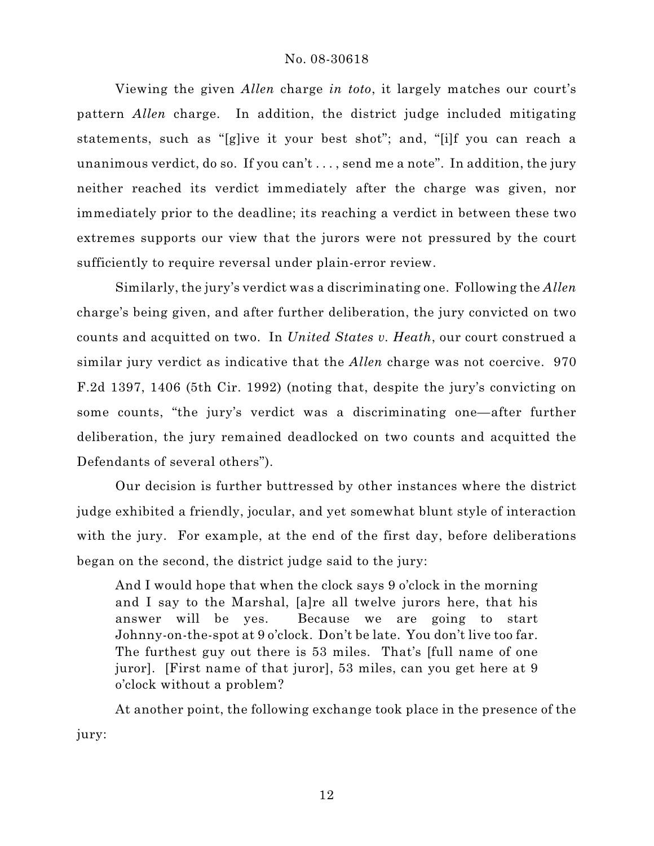Viewing the given *Allen* charge *in toto*, it largely matches our court's pattern *Allen* charge. In addition, the district judge included mitigating statements, such as "[g]ive it your best shot"; and, "[i]f you can reach a unanimous verdict, do so. If you can't . . . , send me a note". In addition, the jury neither reached its verdict immediately after the charge was given, nor immediately prior to the deadline; its reaching a verdict in between these two extremes supports our view that the jurors were not pressured by the court sufficiently to require reversal under plain-error review.

Similarly, the jury's verdict was a discriminating one. Following the *Allen* charge's being given, and after further deliberation, the jury convicted on two counts and acquitted on two. In *United States v. Heath*, our court construed a similar jury verdict as indicative that the *Allen* charge was not coercive. 970 F.2d 1397, 1406 (5th Cir. 1992) (noting that, despite the jury's convicting on some counts, "the jury's verdict was a discriminating one—after further deliberation, the jury remained deadlocked on two counts and acquitted the Defendants of several others").

Our decision is further buttressed by other instances where the district judge exhibited a friendly, jocular, and yet somewhat blunt style of interaction with the jury. For example, at the end of the first day, before deliberations began on the second, the district judge said to the jury:

And I would hope that when the clock says 9 o'clock in the morning and I say to the Marshal, [a]re all twelve jurors here, that his answer will be yes. Because we are going to start Johnny-on-the-spot at 9 o'clock. Don't be late. You don't live too far. The furthest guy out there is 53 miles. That's [full name of one juror]. [First name of that juror], 53 miles, can you get here at 9 o'clock without a problem?

At another point, the following exchange took place in the presence of the jury: